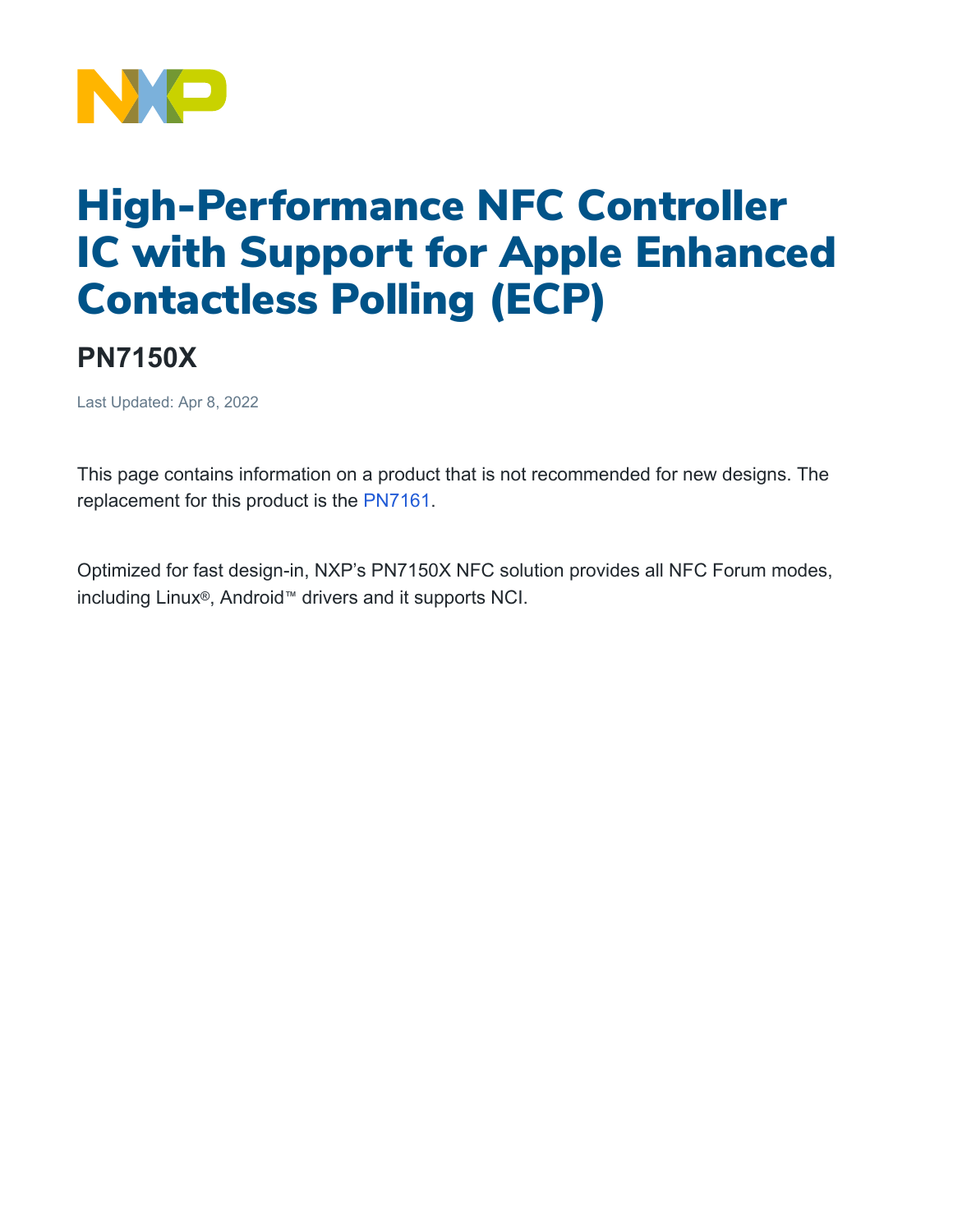

## High-Performance NFC Controller IC with Support for Apple Enhanced Contactless Polling (ECP)

## **PN7150X**

Last Updated: Apr 8, 2022

This page contains information on a product that is not recommended for new designs. The replacement for this product is the [PN7161.](https://www.nxp.com/products/rfid-nfc/nfc-hf/nfc-readers/nfc-plug-and-play-controller-with-integrated-firmware-and-nci-interface:PN7160)

Optimized for fast design-in, NXP's PN7150X NFC solution provides all NFC Forum modes, including Linux®, Android™ drivers and it supports NCI.